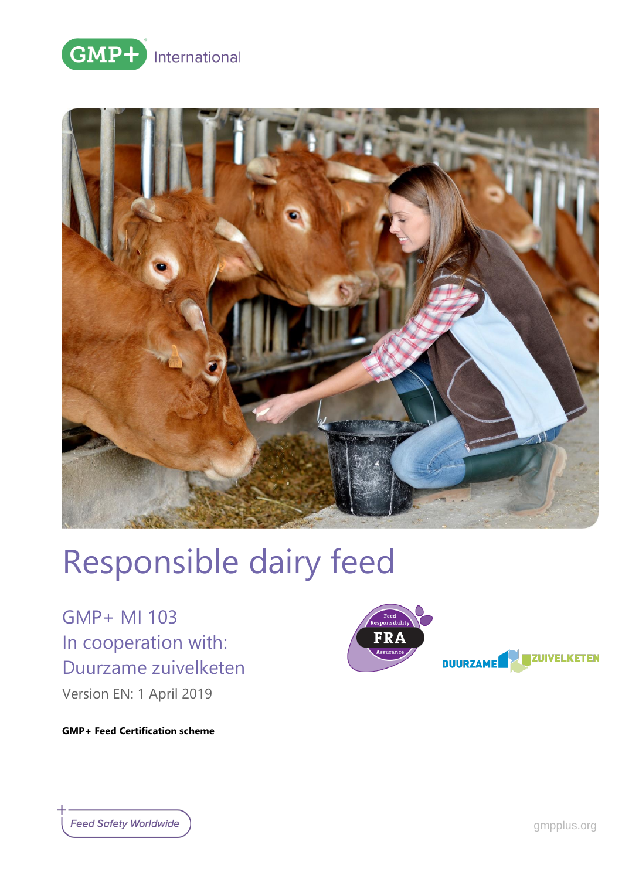



# Responsible dairy feed

GMP+ MI 103 In cooperation with: Duurzame zuivelketen

Version EN: 1 April 2019



**GMP+ Feed Certification scheme**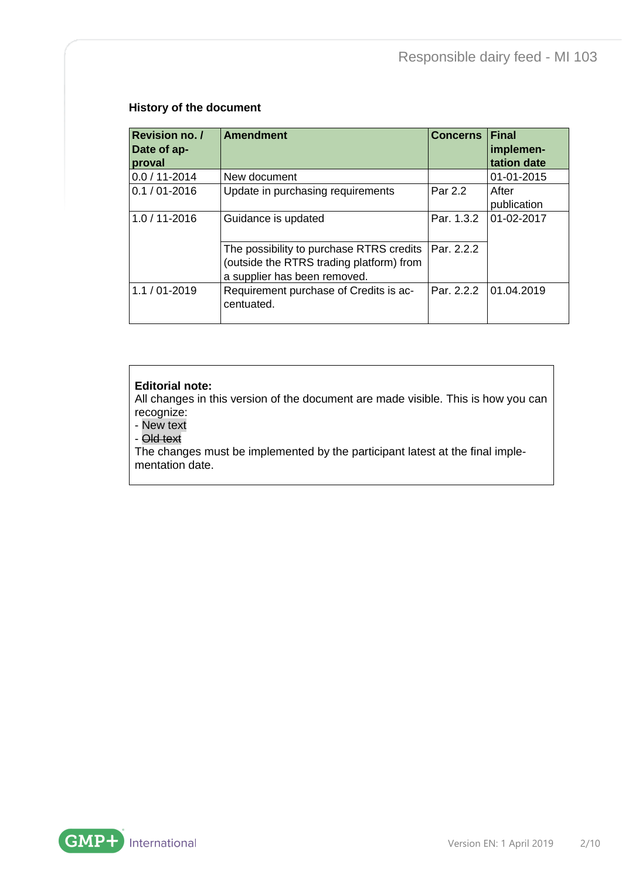#### **History of the document**

| Revision no. /<br>Date of ap-<br>proval | Amendment                                                                                                            | <b>Concerns</b> | <b>IFinal</b><br>implemen-<br>tation date |
|-----------------------------------------|----------------------------------------------------------------------------------------------------------------------|-----------------|-------------------------------------------|
| $0.0 / 11 - 2014$                       | New document                                                                                                         |                 | 01-01-2015                                |
| $0.1 / 01 - 2016$                       | Update in purchasing requirements                                                                                    | Par 2.2         | After<br>publication                      |
| 1.0 / 11-2016                           | Guidance is updated                                                                                                  | Par. 1.3.2      | 01-02-2017                                |
|                                         | The possibility to purchase RTRS credits<br>(outside the RTRS trading platform) from<br>a supplier has been removed. | Par. 2.2.2      |                                           |
| $1.1 / 01 - 2019$                       | Requirement purchase of Credits is ac-<br>centuated.                                                                 | Par. 2.2.2      | 01.04.2019                                |

#### **Editorial note:**

All changes in this version of the document are made visible. This is how you can recognize:

- New text

- Old text

The changes must be implemented by the participant latest at the final implementation date.

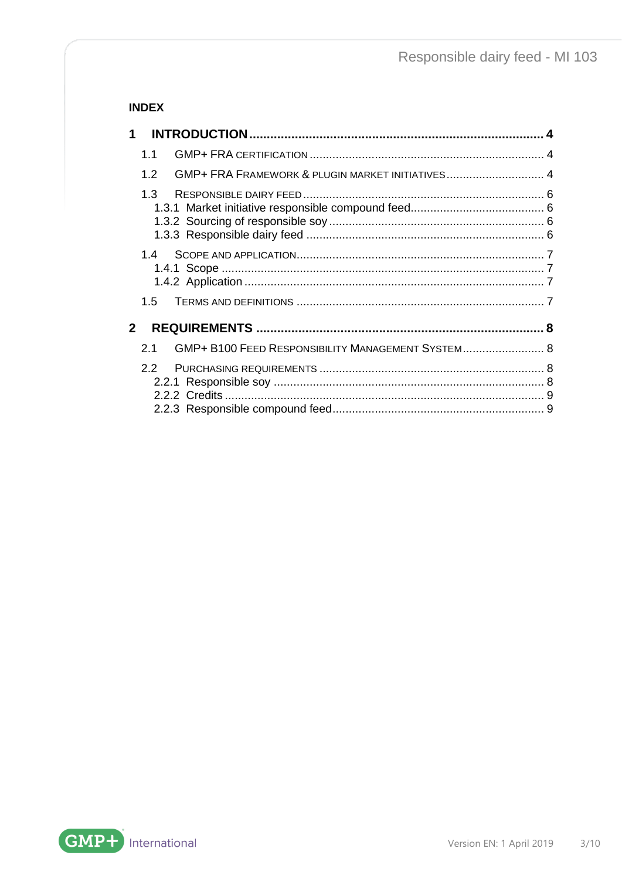## **INDEX**

| 1                                                                    |  |
|----------------------------------------------------------------------|--|
| 1.1                                                                  |  |
| GMP+ FRA FRAMEWORK & PLUGIN MARKET INITIATIVES 4<br>1.2 <sub>2</sub> |  |
| 1.3                                                                  |  |
| 14                                                                   |  |
| 1.5                                                                  |  |
| 2                                                                    |  |
| GMP+ B100 FEED RESPONSIBILITY MANAGEMENT SYSTEM 8<br>2.1             |  |
| 22                                                                   |  |
|                                                                      |  |

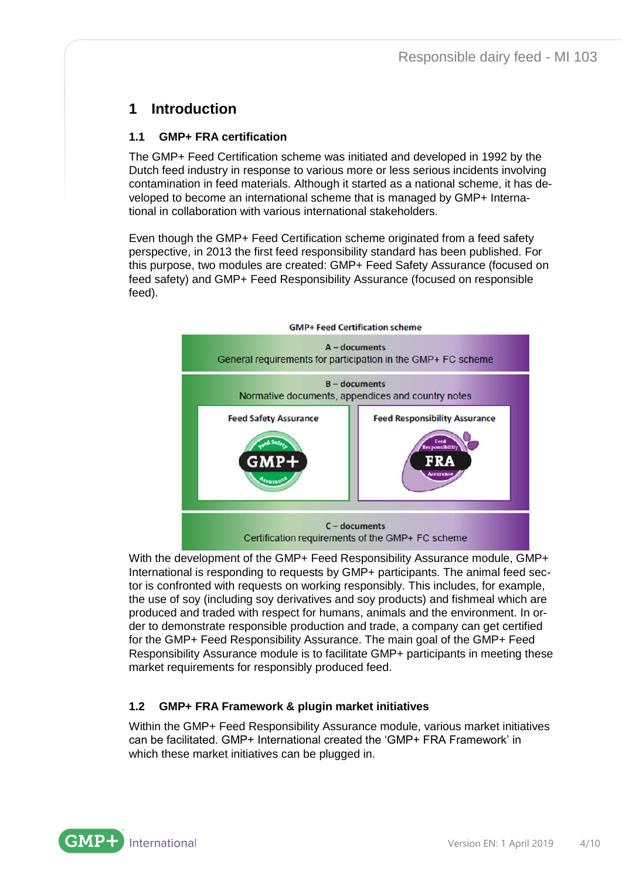# <span id="page-3-0"></span>**1 Introduction**

## <span id="page-3-1"></span>**1.1 GMP+ FRA certification**

The GMP+ Feed Certification scheme was initiated and developed in 1992 by the Dutch feed industry in response to various more or less serious incidents involving contamination in feed materials. Although it started as a national scheme, it has developed to become an international scheme that is managed by GMP+ International in collaboration with various international stakeholders.

Even though the GMP+ Feed Certification scheme originated from a feed safety perspective, in 2013 the first feed responsibility standard has been published. For this purpose, two modules are created: GMP+ Feed Safety Assurance (focused on feed safety) and GMP+ Feed Responsibility Assurance (focused on responsible feed).



With the development of the GMP+ Feed Responsibility Assurance module, GMP+ International is responding to requests by GMP+ participants. The animal feed sector is confronted with requests on working responsibly. This includes, for example, the use of soy (including soy derivatives and soy products) and fishmeal which are produced and traded with respect for humans, animals and the environment. In order to demonstrate responsible production and trade, a company can get certified for the GMP+ Feed Responsibility Assurance. The main goal of the GMP+ Feed Responsibility Assurance module is to facilitate GMP+ participants in meeting these market requirements for responsibly produced feed.

#### <span id="page-3-2"></span>**1.2 GMP+ FRA Framework & plugin market initiatives**

Within the GMP+ Feed Responsibility Assurance module, various market initiatives can be facilitated. GMP+ International created the 'GMP+ FRA Framework' in which these market initiatives can be plugged in.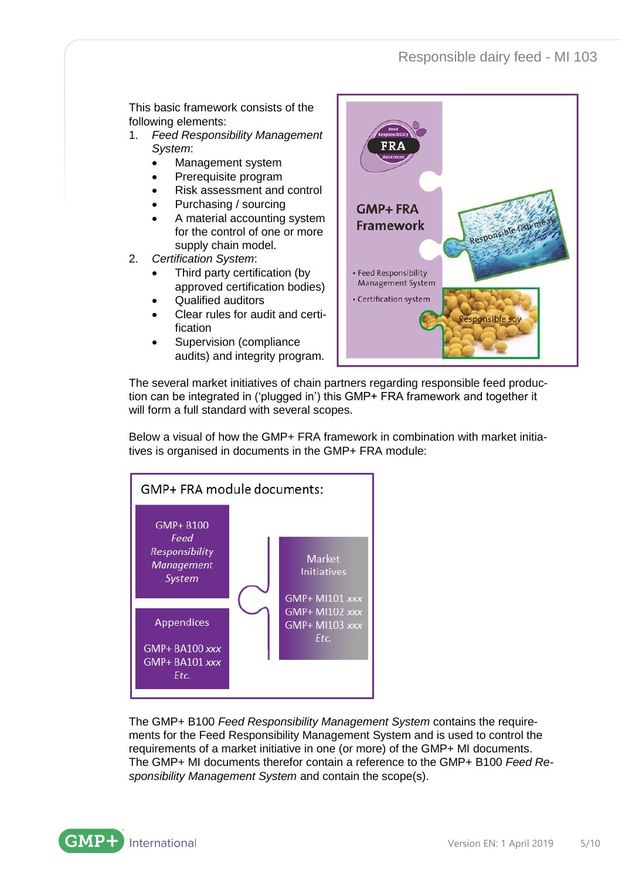This basic framework consists of the following elements:

- 1. *Feed Responsibility Management System*:
	- Management system
	- Prerequisite program
	- Risk assessment and control
	- Purchasing / sourcing
	- A material accounting system for the control of one or more supply chain model.
- 2. *Certification System*:
	- Third party certification (by approved certification bodies)
	- Qualified auditors
	- Clear rules for audit and certification
	- Supervision (compliance audits) and integrity program.



The several market initiatives of chain partners regarding responsible feed production can be integrated in ('plugged in') this GMP+ FRA framework and together it will form a full standard with several scopes.

Below a visual of how the GMP+ FRA framework in combination with market initiatives is organised in documents in the GMP+ FRA module:



The GMP+ B100 *Feed Responsibility Management System* contains the requirements for the Feed Responsibility Management System and is used to control the requirements of a market initiative in one (or more) of the GMP+ MI documents. The GMP+ MI documents therefor contain a reference to the GMP+ B100 *Feed Responsibility Management System* and contain the scope(s).

**GMP** International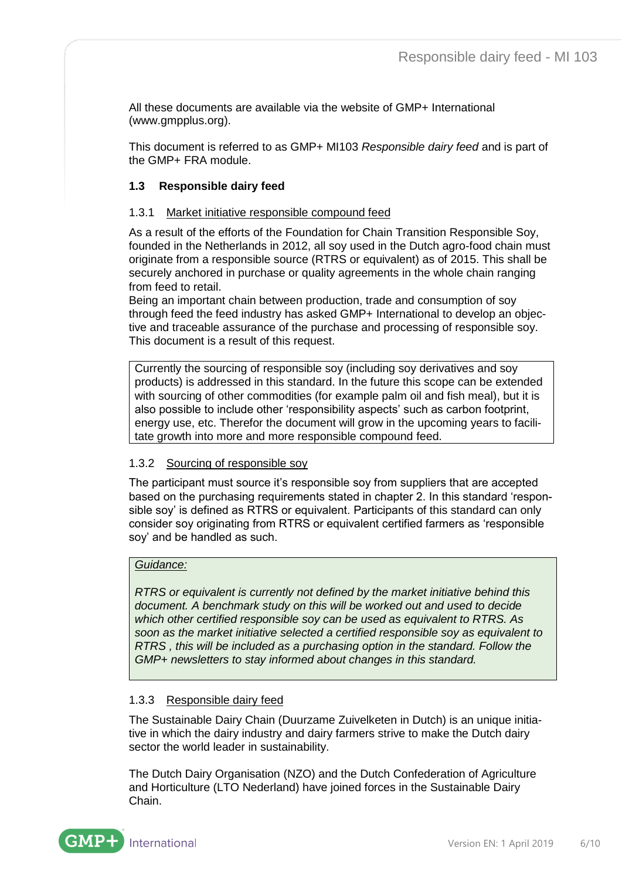All these documents are available via the website of GMP+ International [\(www.gmpplus.org\)](http://www.gmpplus.org/).

This document is referred to as GMP+ MI103 *Responsible dairy feed* and is part of the GMP+ FRA module.

#### <span id="page-5-0"></span>**1.3 Responsible dairy feed**

#### <span id="page-5-1"></span>1.3.1 Market initiative responsible compound feed

As a result of the efforts of the Foundation for Chain Transition Responsible Soy, founded in the Netherlands in 2012, all soy used in the Dutch agro-food chain must originate from a responsible source (RTRS or equivalent) as of 2015. This shall be securely anchored in purchase or quality agreements in the whole chain ranging from feed to retail.

Being an important chain between production, trade and consumption of soy through feed the feed industry has asked GMP+ International to develop an objective and traceable assurance of the purchase and processing of responsible soy. This document is a result of this request.

Currently the sourcing of responsible soy (including soy derivatives and soy products) is addressed in this standard. In the future this scope can be extended with sourcing of other commodities (for example palm oil and fish meal), but it is also possible to include other 'responsibility aspects' such as carbon footprint, energy use, etc. Therefor the document will grow in the upcoming years to facilitate growth into more and more responsible compound feed.

#### <span id="page-5-2"></span>1.3.2 Sourcing of responsible soy

The participant must source it's responsible soy from suppliers that are accepted based on the purchasing requirements stated in chapter 2. In this standard 'responsible soy' is defined as RTRS or equivalent. Participants of this standard can only consider soy originating from RTRS or equivalent certified farmers as 'responsible soy' and be handled as such.

#### *Guidance:*

*RTRS or equivalent is currently not defined by the market initiative behind this document. A benchmark study on this will be worked out and used to decide which other certified responsible soy can be used as equivalent to RTRS. As soon as the market initiative selected a certified responsible soy as equivalent to RTRS , this will be included as a purchasing option in the standard. Follow the GMP+ newsletters to stay informed about changes in this standard.*

#### <span id="page-5-3"></span>1.3.3 Responsible dairy feed

The Sustainable Dairy Chain (Duurzame Zuivelketen in Dutch) is an unique initiative in which the dairy industry and dairy farmers strive to make the Dutch dairy sector the world leader in sustainability.

The Dutch Dairy Organisation (NZO) and the Dutch Confederation of Agriculture and Horticulture (LTO Nederland) have joined forces in the Sustainable Dairy Chain.

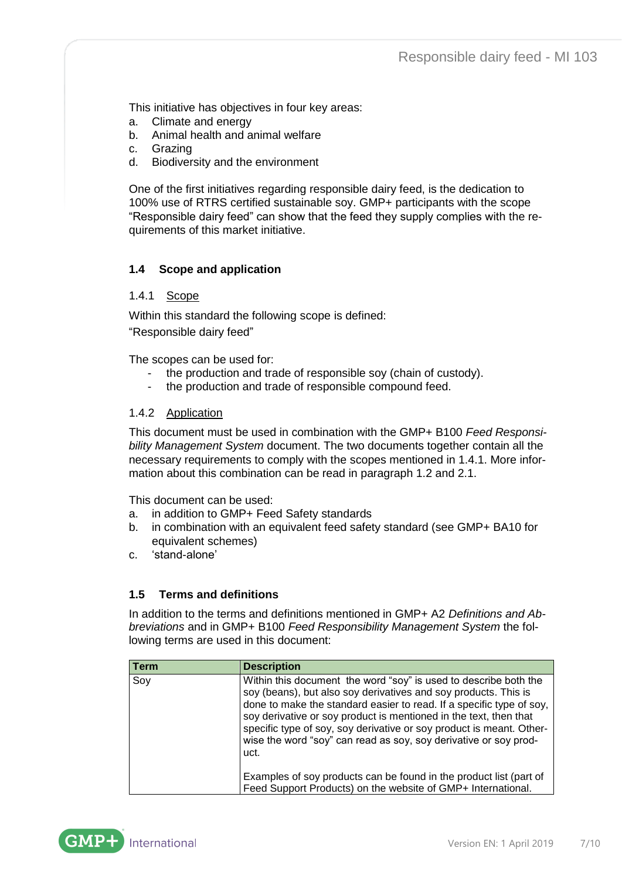This initiative has objectives in four key areas:

- a. Climate and energy
- b. Animal health and animal welfare
- c. Grazing
- d. Biodiversity and the environment

One of the first initiatives regarding responsible dairy feed, is the dedication to 100% use of RTRS certified sustainable soy. GMP+ participants with the scope "Responsible dairy feed" can show that the feed they supply complies with the requirements of this market initiative.

#### <span id="page-6-0"></span>**1.4 Scope and application**

#### <span id="page-6-1"></span>1.4.1 Scope

Within this standard the following scope is defined:

"Responsible dairy feed"

The scopes can be used for:

- the production and trade of responsible soy (chain of custody).
- the production and trade of responsible compound feed.

#### <span id="page-6-2"></span>1.4.2 Application

This document must be used in combination with the GMP+ B100 *Feed Responsibility Management System* document. The two documents together contain all the necessary requirements to comply with the scopes mentioned in 1.4.1. More information about this combination can be read in paragraph 1.2 and 2.1.

This document can be used:

- a. in addition to GMP+ Feed Safety standards
- b. in combination with an equivalent feed safety standard (see GMP+ BA10 for equivalent schemes)
- c. 'stand-alone'

#### <span id="page-6-3"></span>**1.5 Terms and definitions**

In addition to the terms and definitions mentioned in GMP+ A2 *Definitions and Abbreviations* and in GMP+ B100 *Feed Responsibility Management System* the following terms are used in this document:

| Term | <b>Description</b>                                                                                                                                                                                                                                                                                                                                                                                                                   |
|------|--------------------------------------------------------------------------------------------------------------------------------------------------------------------------------------------------------------------------------------------------------------------------------------------------------------------------------------------------------------------------------------------------------------------------------------|
| Soy  | Within this document the word "soy" is used to describe both the<br>soy (beans), but also soy derivatives and soy products. This is<br>done to make the standard easier to read. If a specific type of soy,<br>soy derivative or soy product is mentioned in the text, then that<br>specific type of soy, soy derivative or soy product is meant. Other-<br>wise the word "soy" can read as soy, soy derivative or soy prod-<br>uct. |
|      | Examples of soy products can be found in the product list (part of<br>Feed Support Products) on the website of GMP+ International.                                                                                                                                                                                                                                                                                                   |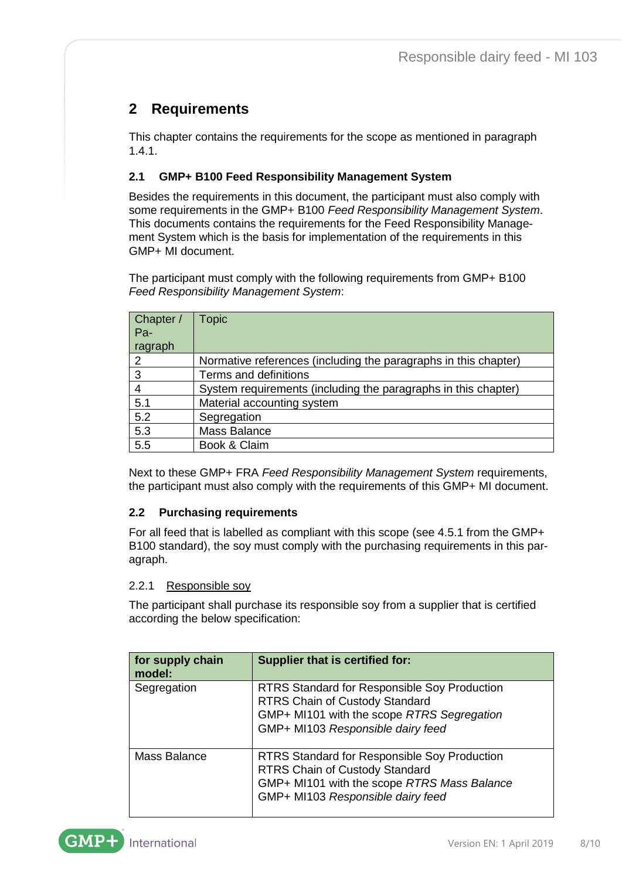# <span id="page-7-0"></span>**2 Requirements**

This chapter contains the requirements for the scope as mentioned in paragraph 1.4.1.

## <span id="page-7-1"></span>**2.1 GMP+ B100 Feed Responsibility Management System**

Besides the requirements in this document, the participant must also comply with some requirements in the GMP+ B100 *Feed Responsibility Management System*. This documents contains the requirements for the Feed Responsibility Management System which is the basis for implementation of the requirements in this GMP+ MI document.

The participant must comply with the following requirements from GMP+ B100 *Feed Responsibility Management System*:

| Chapter /<br>Pa-<br>ragraph | <b>Topic</b>                                                    |
|-----------------------------|-----------------------------------------------------------------|
| 2                           | Normative references (including the paragraphs in this chapter) |
| 3                           | Terms and definitions                                           |
| 4                           | System requirements (including the paragraphs in this chapter)  |
| 5.1                         | Material accounting system                                      |
| 5.2                         | Segregation                                                     |
| 5.3                         | Mass Balance                                                    |
| 5.5                         | Book & Claim                                                    |

Next to these GMP+ FRA *Feed Responsibility Management System* requirements, the participant must also comply with the requirements of this GMP+ MI document.

#### <span id="page-7-2"></span>**2.2 Purchasing requirements**

For all feed that is labelled as compliant with this scope (see 4.5.1 from the GMP+ B100 standard), the soy must comply with the purchasing requirements in this paragraph.

#### <span id="page-7-3"></span>2.2.1 Responsible soy

The participant shall purchase its responsible soy from a supplier that is certified according the below specification:

| for supply chain<br>model: | Supplier that is certified for:                                                                                                                                                  |
|----------------------------|----------------------------------------------------------------------------------------------------------------------------------------------------------------------------------|
| Segregation                | <b>RTRS Standard for Responsible Soy Production</b><br>RTRS Chain of Custody Standard<br>GMP+ MI101 with the scope RTRS Segregation<br>GMP+ MI103 Responsible dairy feed         |
| Mass Balance               | <b>RTRS Standard for Responsible Soy Production</b><br><b>RTRS Chain of Custody Standard</b><br>GMP+ MI101 with the scope RTRS Mass Balance<br>GMP+ MI103 Responsible dairy feed |

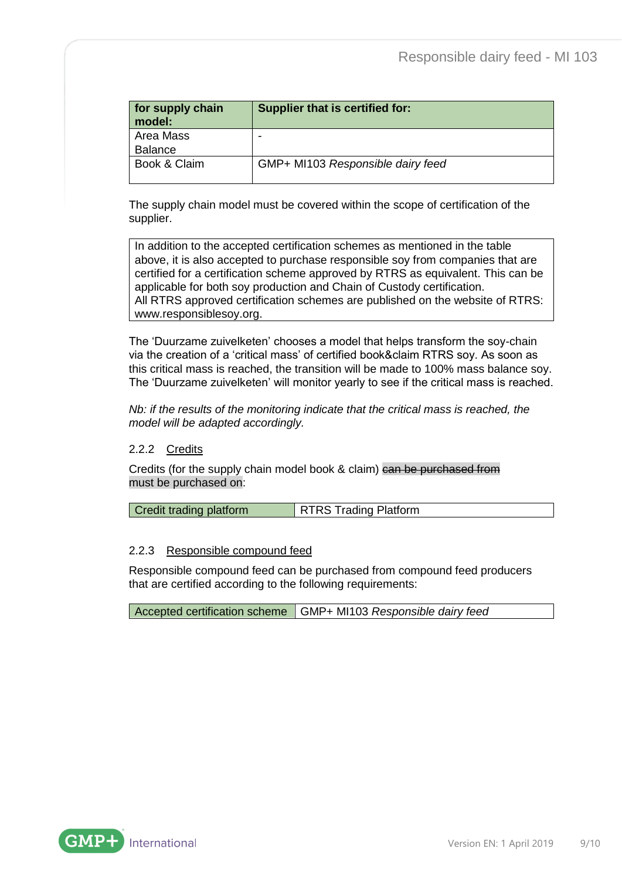| for supply chain<br>model:  | Supplier that is certified for:   |
|-----------------------------|-----------------------------------|
| Area Mass<br><b>Balance</b> |                                   |
| Book & Claim                | GMP+ MI103 Responsible dairy feed |

The supply chain model must be covered within the scope of certification of the supplier.

In addition to the accepted certification schemes as mentioned in the table above, it is also accepted to purchase responsible soy from companies that are certified for a certification scheme approved by RTRS as equivalent. This can be applicable for both soy production and Chain of Custody certification. All RTRS approved certification schemes are published on the website of RTRS: www.responsiblesoy.org.

The 'Duurzame zuivelketen' chooses a model that helps transform the soy-chain via the creation of a 'critical mass' of certified book&claim RTRS soy. As soon as this critical mass is reached, the transition will be made to 100% mass balance soy. The 'Duurzame zuivelketen' will monitor yearly to see if the critical mass is reached.

*Nb: if the results of the monitoring indicate that the critical mass is reached, the model will be adapted accordingly.*

#### <span id="page-8-0"></span>2.2.2 Credits

Credits (for the supply chain model book & claim) can be purchased from must be purchased on:

| <b>Credit trading platform</b> | <b>RTRS Trading Platform</b> |
|--------------------------------|------------------------------|
|--------------------------------|------------------------------|

#### <span id="page-8-1"></span>2.2.3 Responsible compound feed

Responsible compound feed can be purchased from compound feed producers that are certified according to the following requirements:

Accepted certification scheme GMP+ MI103 *Responsible dairy feed*